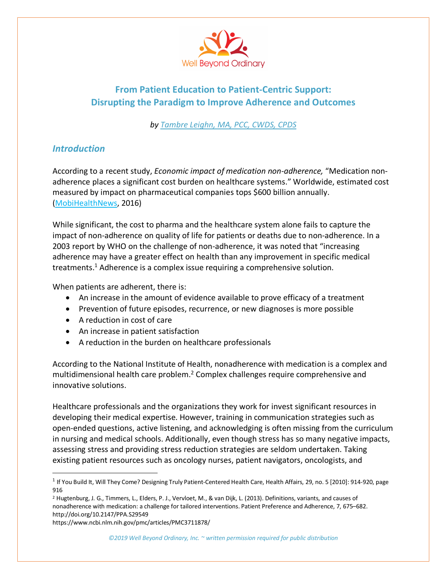

# **From Patient Education to Patient-Centric Support: Disrupting the Paradigm to Improve Adherence and Outcomes**

*by Tambre Leighn, MA, PCC, CWDS, CPDS*

# *Introduction*

According to a recent study, *Economic impact of medication non-adherence,* "Medication nonadherence places a significant cost burden on healthcare systems." Worldwide, estimated cost measured by impact on pharmaceutical companies tops \$600 billion annually. (MobiHealthNews, 2016)

While significant, the cost to pharma and the healthcare system alone fails to capture the impact of non-adherence on quality of life for patients or deaths due to non-adherence. In a 2003 report by WHO on the challenge of non-adherence, it was noted that "increasing adherence may have a greater effect on health than any improvement in specific medical treatments.<sup>1</sup> Adherence is a complex issue requiring a comprehensive solution.

When patients are adherent, there is:

- An increase in the amount of evidence available to prove efficacy of a treatment
- Prevention of future episodes, recurrence, or new diagnoses is more possible
- A reduction in cost of care
- An increase in patient satisfaction
- A reduction in the burden on healthcare professionals

According to the National Institute of Health, nonadherence with medication is a complex and multidimensional health care problem.<sup>2</sup> Complex challenges require comprehensive and innovative solutions.

Healthcare professionals and the organizations they work for invest significant resources in developing their medical expertise. However, training in communication strategies such as open-ended questions, active listening, and acknowledging is often missing from the curriculum in nursing and medical schools. Additionally, even though stress has so many negative impacts, assessing stress and providing stress reduction strategies are seldom undertaken. Taking existing patient resources such as oncology nurses, patient navigators, oncologists, and

https://www.ncbi.nlm.nih.gov/pmc/articles/PMC3711878/

<sup>&</sup>lt;sup>1</sup> If You Build It, Will They Come? Designing Truly Patient-Centered Health Care, Health Affairs, 29, no. 5 [2010]: 914-920, page 916

<sup>2</sup> Hugtenburg, J. G., Timmers, L., Elders, P. J., Vervloet, M., & van Dijk, L. (2013). Definitions, variants, and causes of nonadherence with medication: a challenge for tailored interventions. Patient Preference and Adherence, 7, 675–682. http://doi.org/10.2147/PPA.S29549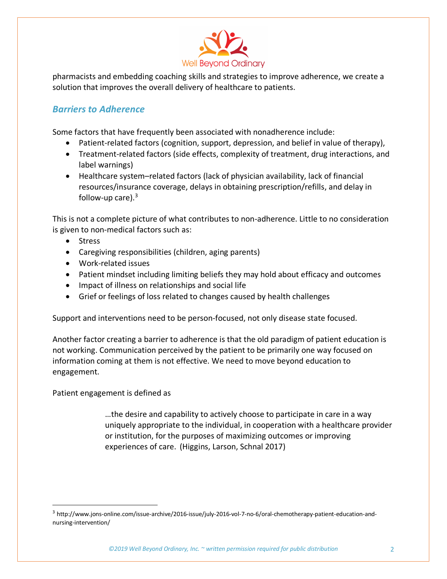

pharmacists and embedding coaching skills and strategies to improve adherence, we create a solution that improves the overall delivery of healthcare to patients.

# *Barriers to Adherence*

Some factors that have frequently been associated with nonadherence include:

- Patient-related factors (cognition, support, depression, and belief in value of therapy),
- Treatment-related factors (side effects, complexity of treatment, drug interactions, and label warnings)
- Healthcare system–related factors (lack of physician availability, lack of financial resources/insurance coverage, delays in obtaining prescription/refills, and delay in follow-up care). $3$

This is not a complete picture of what contributes to non-adherence. Little to no consideration is given to non-medical factors such as:

- Stress
- Caregiving responsibilities (children, aging parents)
- Work-related issues
- Patient mindset including limiting beliefs they may hold about efficacy and outcomes
- Impact of illness on relationships and social life
- Grief or feelings of loss related to changes caused by health challenges

Support and interventions need to be person-focused, not only disease state focused.

Another factor creating a barrier to adherence is that the old paradigm of patient education is not working. Communication perceived by the patient to be primarily one way focused on information coming at them is not effective. We need to move beyond education to engagement.

Patient engagement is defined as

…the desire and capability to actively choose to participate in care in a way uniquely appropriate to the individual, in cooperation with a healthcare provider or institution, for the purposes of maximizing outcomes or improving experiences of care. (Higgins, Larson, Schnal 2017)

 <sup>3</sup> http://www.jons-online.com/issue-archive/2016-issue/july-2016-vol-7-no-6/oral-chemotherapy-patient-education-andnursing-intervention/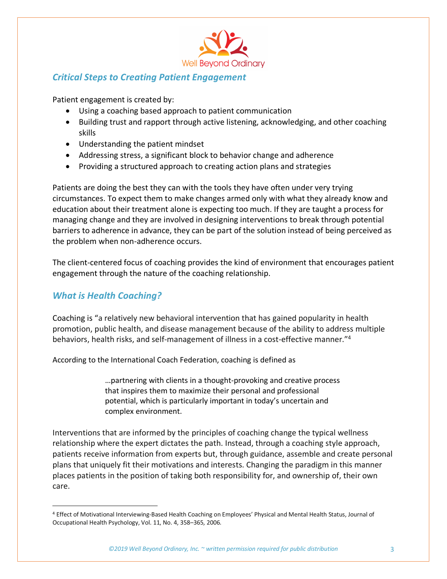

# *Critical Steps to Creating Patient Engagement*

Patient engagement is created by:

- Using a coaching based approach to patient communication
- Building trust and rapport through active listening, acknowledging, and other coaching skills
- Understanding the patient mindset
- Addressing stress, a significant block to behavior change and adherence
- Providing a structured approach to creating action plans and strategies

Patients are doing the best they can with the tools they have often under very trying circumstances. To expect them to make changes armed only with what they already know and education about their treatment alone is expecting too much. If they are taught a process for managing change and they are involved in designing interventions to break through potential barriers to adherence in advance, they can be part of the solution instead of being perceived as the problem when non-adherence occurs.

The client-centered focus of coaching provides the kind of environment that encourages patient engagement through the nature of the coaching relationship.

### *What is Health Coaching?*

Coaching is "a relatively new behavioral intervention that has gained popularity in health promotion, public health, and disease management because of the ability to address multiple behaviors, health risks, and self-management of illness in a cost-effective manner."4

According to the International Coach Federation, coaching is defined as

…partnering with clients in a thought-provoking and creative process that inspires them to maximize their personal and professional potential, which is particularly important in today's uncertain and complex environment.

Interventions that are informed by the principles of coaching change the typical wellness relationship where the expert dictates the path. Instead, through a coaching style approach, patients receive information from experts but, through guidance, assemble and create personal plans that uniquely fit their motivations and interests. Changing the paradigm in this manner places patients in the position of taking both responsibility for, and ownership of, their own care.

 <sup>4</sup> Effect of Motivational Interviewing-Based Health Coaching on Employees' Physical and Mental Health Status, Journal of Occupational Health Psychology, Vol. 11, No. 4, 358–365, 2006.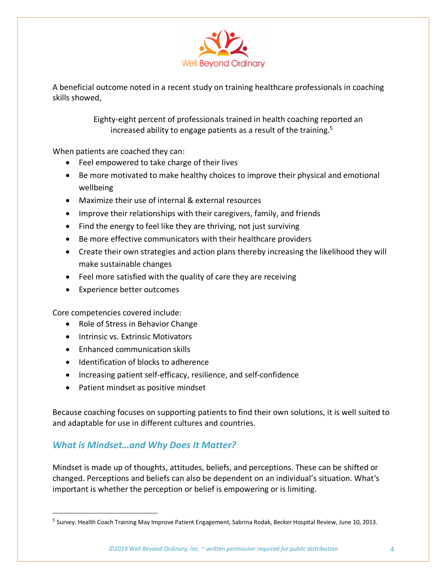

A beneficial outcome noted in a recent study on training healthcare professionals in coaching skills showed,

> Eighty-eight percent of professionals trained in health coaching reported an increased ability to engage patients as a result of the training.<sup>5</sup>

When patients are coached they can:

- Feel empowered to take charge of their lives
- Be more motivated to make healthy choices to improve their physical and emotional wellbeing
- Maximize their use of internal & external resources
- Improve their relationships with their caregivers, family, and friends
- Find the energy to feel like they are thriving, not just surviving
- Be more effective communicators with their healthcare providers
- Create their own strategies and action plans thereby increasing the likelihood they will make sustainable changes
- Feel more satisfied with the quality of care they are receiving
- Experience better outcomes

Core competencies covered include:

- Role of Stress in Behavior Change
- Intrinsic vs. Extrinsic Motivators
- Enhanced communication skills
- Identification of blocks to adherence
- Increasing patient self-efficacy, resilience, and self-confidence
- Patient mindset as positive mindset

Because coaching focuses on supporting patients to find their own solutions, it is well suited to and adaptable for use in different cultures and countries.

#### *What is Mindset…and Why Does It Matter?*

Mindset is made up of thoughts, attitudes, beliefs, and perceptions. These can be shifted or changed. Perceptions and beliefs can also be dependent on an individual's situation. What's important is whether the perception or belief is empowering or is limiting.

<sup>&</sup>lt;sup>5</sup> Survey: Health Coach Training May Improve Patient Engagement, Sabrina Rodak, Becker Hospital Review, June 10, 2013.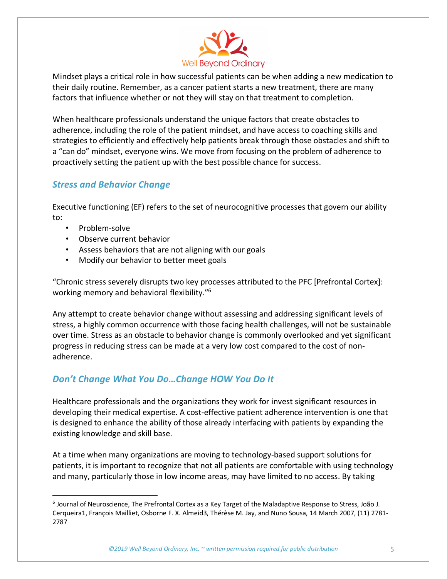

Mindset plays a critical role in how successful patients can be when adding a new medication to their daily routine. Remember, as a cancer patient starts a new treatment, there are many factors that influence whether or not they will stay on that treatment to completion.

When healthcare professionals understand the unique factors that create obstacles to adherence, including the role of the patient mindset, and have access to coaching skills and strategies to efficiently and effectively help patients break through those obstacles and shift to a "can do" mindset, everyone wins. We move from focusing on the problem of adherence to proactively setting the patient up with the best possible chance for success.

### *Stress and Behavior Change*

Executive functioning (EF) refers to the set of neurocognitive processes that govern our ability to:

- Problem-solve
- Observe current behavior
- Assess behaviors that are not aligning with our goals
- Modify our behavior to better meet goals

"Chronic stress severely disrupts two key processes attributed to the PFC [Prefrontal Cortex]: working memory and behavioral flexibility."6

Any attempt to create behavior change without assessing and addressing significant levels of stress, a highly common occurrence with those facing health challenges, will not be sustainable over time. Stress as an obstacle to behavior change is commonly overlooked and yet significant progress in reducing stress can be made at a very low cost compared to the cost of nonadherence.

# *Don't Change What You Do…Change HOW You Do It*

Healthcare professionals and the organizations they work for invest significant resources in developing their medical expertise. A cost-effective patient adherence intervention is one that is designed to enhance the ability of those already interfacing with patients by expanding the existing knowledge and skill base.

At a time when many organizations are moving to technology-based support solutions for patients, it is important to recognize that not all patients are comfortable with using technology and many, particularly those in low income areas, may have limited to no access. By taking

 <sup>6</sup> Journal of Neuroscience, The Prefrontal Cortex as a Key Target of the Maladaptive Response to Stress, João J. Cerqueira1, François Mailliet, Osborne F. X. Almeid3, Thérèse M. Jay, and Nuno Sousa, 14 March 2007, (11) 2781- 2787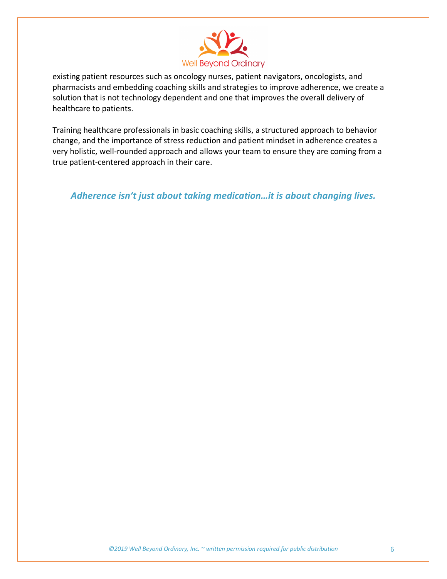

existing patient resources such as oncology nurses, patient navigators, oncologists, and pharmacists and embedding coaching skills and strategies to improve adherence, we create a solution that is not technology dependent and one that improves the overall delivery of healthcare to patients.

Training healthcare professionals in basic coaching skills, a structured approach to behavior change, and the importance of stress reduction and patient mindset in adherence creates a very holistic, well-rounded approach and allows your team to ensure they are coming from a true patient-centered approach in their care.

*Adherence isn't just about taking medication…it is about changing lives.*